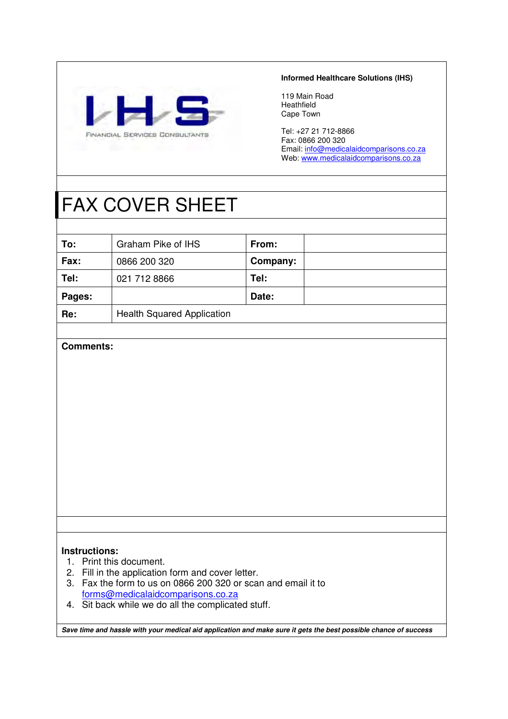

# **Informed Healthcare Solutions (IHS)**

119 Main Road Heathfield Cape Town

Tel: +27 21 712-8866 Fax: 0866 200 320 Email: info@medicalaidcomparisons.co.za Web: www.medicalaidcomparisons.co.za

# FAX COVER SHEET

| To:    | Graham Pike of IHS                | From:    |  |
|--------|-----------------------------------|----------|--|
| Fax:   | 0866 200 320                      | Company: |  |
| Tel:   | 021 712 8866                      | Tel:     |  |
| Pages: |                                   | Date:    |  |
| Re:    | <b>Health Squared Application</b> |          |  |

# **Comments:**

# **Instructions:**

- 1. Print this document.
- 2. Fill in the application form and cover letter.
- 3. Fax the form to us on 0866 200 320 or scan and email it to forms@medicalaidcomparisons.co.za
- 4. Sit back while we do all the complicated stuff.

**Save time and hassle with your medical aid application and make sure it gets the best possible chance of success**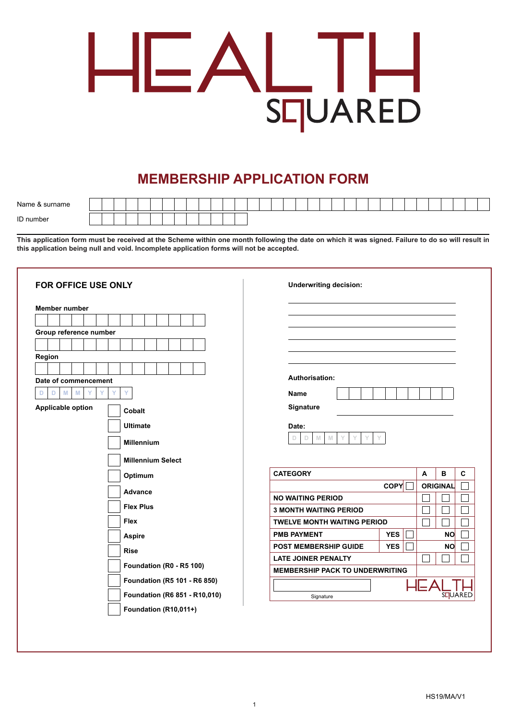

# **MEMBERSHIP APPLICATION FORM**

| Name &<br>∈surname |  |  |  |  |  |  |  |  |  |  |  |  |  |  |  |  |  |
|--------------------|--|--|--|--|--|--|--|--|--|--|--|--|--|--|--|--|--|
| ID number          |  |  |  |  |  |  |  |  |  |  |  |  |  |  |  |  |  |

**This application form must be received at the Scheme within one month following the date on which it was signed. Failure to do so will result in this application being null and void. Incomplete application forms will not be accepted.**

| FOR OFFICE USE ONLY                   | <b>Underwriting decision:</b>                           |
|---------------------------------------|---------------------------------------------------------|
| <b>Member number</b>                  |                                                         |
|                                       |                                                         |
| Group reference number                |                                                         |
|                                       |                                                         |
| Region                                |                                                         |
|                                       |                                                         |
| Date of commencement                  | Authorisation:                                          |
| M<br>M<br>Y<br>Y<br>D<br>Y<br>Y.<br>D | Name                                                    |
| Applicable option                     | Signature                                               |
| Cobalt                                |                                                         |
| <b>Ultimate</b>                       | Date:                                                   |
| <b>Millennium</b>                     | $\mathbb D$<br>M<br>N<br>Y<br>Y<br>Y<br>Y<br>$\Box$     |
|                                       |                                                         |
| <b>Millennium Select</b>              |                                                         |
| Optimum                               | <b>CATEGORY</b><br>A<br>в<br>C                          |
| Advance                               | COPY<br><b>ORIGINAL</b>                                 |
|                                       | <b>NO WAITING PERIOD</b>                                |
| <b>Flex Plus</b>                      | <b>3 MONTH WAITING PERIOD</b>                           |
| Flex                                  | <b>TWELVE MONTH WAITING PERIOD</b>                      |
| <b>Aspire</b>                         | <b>YES</b><br><b>PMB PAYMENT</b><br><b>NO</b>           |
| <b>Rise</b>                           | <b>POST MEMBERSHIP GUIDE</b><br><b>YES</b><br><b>NO</b> |
|                                       | <b>LATE JOINER PENALTY</b>                              |
| Foundation (R0 - R5 100)              | <b>MEMBERSHIP PACK TO UNDERWRITING</b>                  |
| Foundation (R5 101 - R6 850)          |                                                         |
| Foundation (R6 851 - R10,010)         | <b>SEJUÁRED</b><br>Signature                            |
| Foundation (R10,011+)                 |                                                         |
|                                       |                                                         |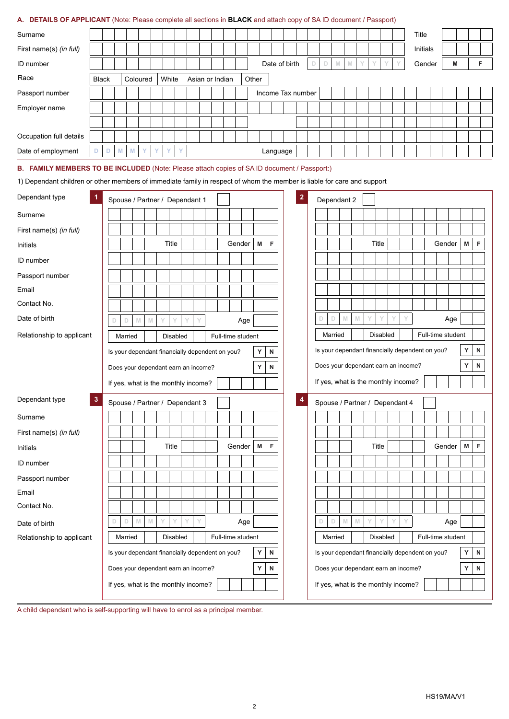# **A. DETAILS OF APPLICANT** (Note: Please complete all sections in **BLACK** and attach copy of SA ID document / Passport)

| Surname                 |              |   |   |          |   |              |              |            |  |                 |       |  |                   |   |   |   |   |               |   |               |  | Title    |   |  |  |
|-------------------------|--------------|---|---|----------|---|--------------|--------------|------------|--|-----------------|-------|--|-------------------|---|---|---|---|---------------|---|---------------|--|----------|---|--|--|
| First name(s) (in full) |              |   |   |          |   |              |              |            |  |                 |       |  |                   |   |   |   |   |               |   |               |  | Initials |   |  |  |
| ID number               |              |   |   |          |   |              |              |            |  |                 |       |  | Date of birth     | D | D | M | M | $\mathcal{N}$ | Y | $\mathcal{N}$ |  | Gender   | M |  |  |
| Race                    | <b>Black</b> |   |   | Coloured |   |              | White        |            |  | Asian or Indian | Other |  |                   |   |   |   |   |               |   |               |  |          |   |  |  |
| Passport number         |              |   |   |          |   |              |              |            |  |                 |       |  | Income Tax number |   |   |   |   |               |   |               |  |          |   |  |  |
| Employer name           |              |   |   |          |   |              |              |            |  |                 |       |  |                   |   |   |   |   |               |   |               |  |          |   |  |  |
|                         |              |   |   |          |   |              |              |            |  |                 |       |  |                   |   |   |   |   |               |   |               |  |          |   |  |  |
| Occupation full details |              |   |   |          |   |              |              |            |  |                 |       |  |                   |   |   |   |   |               |   |               |  |          |   |  |  |
| Date of employment      |              | D | M | M        | Y | $\mathbf{v}$ | $\mathbf{v}$ | $\sqrt{2}$ |  |                 |       |  | Language          |   |   |   |   |               |   |               |  |          |   |  |  |
|                         |              |   |   |          |   |              |              |            |  |                 |       |  |                   |   |   |   |   |               |   |               |  |          |   |  |  |

# **B. FAMILY MEMBERS TO BE INCLUDED** (Note: Please attach copies of SA ID document / Passport:)

1) Dependant children or other members of immediate family in respect of whom the member is liable for care and support

| Dependant type            | Spouse / Partner / Dependant 1                  |                  |                 |   |                   |     |   |             | $\overline{2}$ |   | Dependant 2 |   |                                     |   |                 |        |                                                 |        |                   |   |   |
|---------------------------|-------------------------------------------------|------------------|-----------------|---|-------------------|-----|---|-------------|----------------|---|-------------|---|-------------------------------------|---|-----------------|--------|-------------------------------------------------|--------|-------------------|---|---|
| Surname                   |                                                 |                  |                 |   |                   |     |   |             |                |   |             |   |                                     |   |                 |        |                                                 |        |                   |   |   |
| First name(s) (in full)   |                                                 |                  |                 |   |                   |     |   |             |                |   |             |   |                                     |   |                 |        |                                                 |        |                   |   |   |
| Initials                  |                                                 |                  | Title           |   | Gender            |     | M | F           |                |   |             |   |                                     |   | Title           |        |                                                 | Gender |                   | M | F |
| <b>ID</b> number          |                                                 |                  |                 |   |                   |     |   |             |                |   |             |   |                                     |   |                 |        |                                                 |        |                   |   |   |
| Passport number           |                                                 |                  |                 |   |                   |     |   |             |                |   |             |   |                                     |   |                 |        |                                                 |        |                   |   |   |
| Email                     |                                                 |                  |                 |   |                   |     |   |             |                |   |             |   |                                     |   |                 |        |                                                 |        |                   |   |   |
| Contact No.               |                                                 |                  |                 |   |                   |     |   |             |                |   |             |   |                                     |   |                 |        |                                                 |        |                   |   |   |
| Date of birth             | D<br>D                                          | M<br>M           |                 |   |                   | Age |   |             |                | D | $\mathbb D$ | M | M                                   |   |                 |        |                                                 |        | Age               |   |   |
| Relationship to applicant | Married                                         |                  | <b>Disabled</b> |   | Full-time student |     |   |             |                |   | Married     |   |                                     |   | <b>Disabled</b> |        |                                                 |        | Full-time student |   |   |
|                           | Is your dependant financially dependent on you? |                  |                 |   |                   |     | Υ | ${\sf N}$   |                |   |             |   |                                     |   |                 |        | Is your dependant financially dependent on you? |        |                   | Y | N |
|                           | Does your dependant earn an income?             |                  |                 |   |                   |     | Υ | $\mathbf N$ |                |   |             |   | Does your dependant earn an income? |   |                 |        |                                                 |        |                   | Y | N |
|                           | If yes, what is the monthly income?             |                  |                 |   |                   |     |   |             |                |   |             |   | If yes, what is the monthly income? |   |                 |        |                                                 |        |                   |   |   |
|                           |                                                 |                  |                 |   |                   |     |   |             |                |   |             |   |                                     |   |                 |        |                                                 |        |                   |   |   |
| Dependant type<br>3       | Spouse / Partner / Dependant 3                  |                  |                 |   |                   |     |   |             | $\overline{4}$ |   |             |   | Spouse / Partner / Dependant 4      |   |                 |        |                                                 |        |                   |   |   |
| Surname                   |                                                 |                  |                 |   |                   |     |   |             |                |   |             |   |                                     |   |                 |        |                                                 |        |                   |   |   |
| First name(s) (in full)   |                                                 |                  |                 |   |                   |     |   |             |                |   |             |   |                                     |   |                 |        |                                                 |        |                   |   |   |
| Initials                  |                                                 |                  | Title           |   | Gender            |     | M | F           |                |   |             |   |                                     |   | Title           |        |                                                 | Gender |                   | M | F |
| ID number                 |                                                 |                  |                 |   |                   |     |   |             |                |   |             |   |                                     |   |                 |        |                                                 |        |                   |   |   |
| Passport number           |                                                 |                  |                 |   |                   |     |   |             |                |   |             |   |                                     |   |                 |        |                                                 |        |                   |   |   |
| Email                     |                                                 |                  |                 |   |                   |     |   |             |                |   |             |   |                                     |   |                 |        |                                                 |        |                   |   |   |
| Contact No.               |                                                 |                  |                 |   |                   |     |   |             |                |   |             |   |                                     |   |                 |        |                                                 |        |                   |   |   |
| Date of birth             | D<br>$\Box$                                     | $\mathbb N$<br>M | Y               | Y |                   | Age |   |             |                | D | D           | M | $\mathbb N$                         | Y | Ÿ               | $\vee$ |                                                 |        | Age               |   |   |
| Relationship to applicant | Married                                         |                  | <b>Disabled</b> |   | Full-time student |     |   |             |                |   | Married     |   |                                     |   | <b>Disabled</b> |        |                                                 |        | Full-time student |   |   |
|                           | Is your dependant financially dependent on you? |                  |                 |   |                   |     | Υ | ${\sf N}$   |                |   |             |   |                                     |   |                 |        | Is your dependant financially dependent on you? |        |                   | Y | N |
|                           | Does your dependant earn an income?             |                  |                 |   |                   |     | Υ | ${\sf N}$   |                |   |             |   | Does your dependant earn an income? |   |                 |        |                                                 |        |                   | Υ | N |

A child dependant who is self-supporting will have to enrol as a principal member.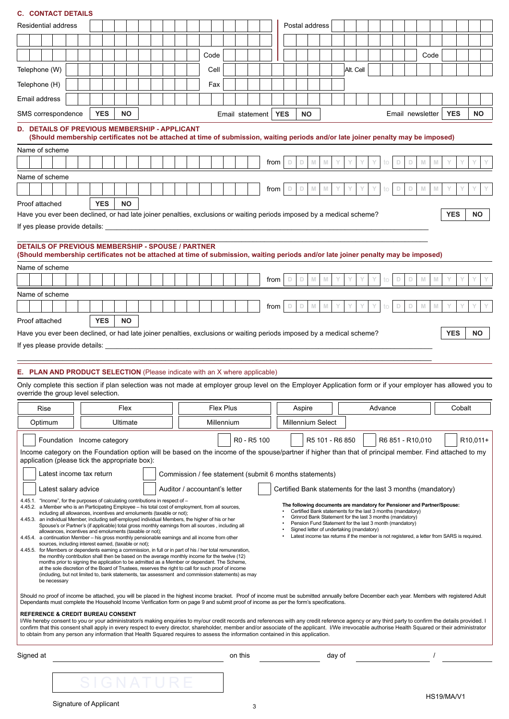| <b>C. CONTACT DETAILS</b>                                                                                                                                                                                                                                                                                                                                                                               |  |            |          |           |  |  |  |      |                                                         |         |             |      |                          |        |                |   |                 |           |   |                                          |         |                                                                                                                         |   |                                                             |   |                                                                                            |        |           |  |
|---------------------------------------------------------------------------------------------------------------------------------------------------------------------------------------------------------------------------------------------------------------------------------------------------------------------------------------------------------------------------------------------------------|--|------------|----------|-----------|--|--|--|------|---------------------------------------------------------|---------|-------------|------|--------------------------|--------|----------------|---|-----------------|-----------|---|------------------------------------------|---------|-------------------------------------------------------------------------------------------------------------------------|---|-------------------------------------------------------------|---|--------------------------------------------------------------------------------------------|--------|-----------|--|
| Residential address                                                                                                                                                                                                                                                                                                                                                                                     |  |            |          |           |  |  |  |      |                                                         |         |             |      |                          |        | Postal address |   |                 |           |   |                                          |         |                                                                                                                         |   |                                                             |   |                                                                                            |        |           |  |
|                                                                                                                                                                                                                                                                                                                                                                                                         |  |            |          |           |  |  |  |      |                                                         |         |             |      |                          |        |                |   |                 |           |   |                                          |         |                                                                                                                         |   |                                                             |   |                                                                                            |        |           |  |
|                                                                                                                                                                                                                                                                                                                                                                                                         |  |            |          |           |  |  |  | Code |                                                         |         |             |      |                          |        |                |   |                 |           |   |                                          |         |                                                                                                                         |   | Code                                                        |   |                                                                                            |        |           |  |
| Telephone (W)                                                                                                                                                                                                                                                                                                                                                                                           |  |            |          |           |  |  |  | Cell |                                                         |         |             |      |                          |        |                |   |                 | Alt. Cell |   |                                          |         |                                                                                                                         |   |                                                             |   |                                                                                            |        |           |  |
| Telephone (H)                                                                                                                                                                                                                                                                                                                                                                                           |  |            |          |           |  |  |  | Fax  |                                                         |         |             |      |                          |        |                |   |                 |           |   |                                          |         |                                                                                                                         |   |                                                             |   |                                                                                            |        |           |  |
| Email address                                                                                                                                                                                                                                                                                                                                                                                           |  |            |          |           |  |  |  |      |                                                         |         |             |      |                          |        |                |   |                 |           |   |                                          |         |                                                                                                                         |   |                                                             |   |                                                                                            |        |           |  |
| SMS correspondence                                                                                                                                                                                                                                                                                                                                                                                      |  | <b>YES</b> |          | <b>NO</b> |  |  |  |      | Email statement                                         |         |             |      | <b>YES</b>               |        | <b>NO</b>      |   |                 |           |   |                                          |         |                                                                                                                         |   | Email newsletter                                            |   | <b>YES</b>                                                                                 |        | ΝO        |  |
| D. DETAILS OF PREVIOUS MEMBERSHIP - APPLICANT<br>(Should membership certificates not be attached at time of submission, waiting periods and/or late joiner penalty may be imposed)                                                                                                                                                                                                                      |  |            |          |           |  |  |  |      |                                                         |         |             |      |                          |        |                |   |                 |           |   |                                          |         |                                                                                                                         |   |                                                             |   |                                                                                            |        |           |  |
| Name of scheme                                                                                                                                                                                                                                                                                                                                                                                          |  |            |          |           |  |  |  |      |                                                         |         |             |      |                          |        |                |   |                 |           |   |                                          |         |                                                                                                                         |   |                                                             |   |                                                                                            |        |           |  |
|                                                                                                                                                                                                                                                                                                                                                                                                         |  |            |          |           |  |  |  |      |                                                         |         |             | from | $\Box$                   | D      | M              | M |                 |           |   |                                          | to      | D                                                                                                                       | D | M                                                           | M |                                                                                            |        |           |  |
| Name of scheme                                                                                                                                                                                                                                                                                                                                                                                          |  |            |          |           |  |  |  |      |                                                         |         |             |      |                          |        |                |   |                 |           |   |                                          |         |                                                                                                                         |   |                                                             |   |                                                                                            |        |           |  |
|                                                                                                                                                                                                                                                                                                                                                                                                         |  |            |          |           |  |  |  |      |                                                         |         |             | from | D                        | D      | M              | M |                 | Υ         | Y | Υ                                        | to      | D                                                                                                                       | D | M                                                           | M |                                                                                            |        |           |  |
| Proof attached                                                                                                                                                                                                                                                                                                                                                                                          |  | <b>YES</b> |          | <b>NO</b> |  |  |  |      |                                                         |         |             |      |                          |        |                |   |                 |           |   |                                          |         |                                                                                                                         |   |                                                             |   |                                                                                            |        |           |  |
| Have you ever been declined, or had late joiner penalties, exclusions or waiting periods imposed by a medical scheme?                                                                                                                                                                                                                                                                                   |  |            |          |           |  |  |  |      |                                                         |         |             |      |                          |        |                |   |                 |           |   |                                          |         |                                                                                                                         |   |                                                             |   | <b>YES</b>                                                                                 |        | <b>NO</b> |  |
| If yes please provide details: We are also as a series of the set of the set of the set of the set of the set o                                                                                                                                                                                                                                                                                         |  |            |          |           |  |  |  |      |                                                         |         |             |      |                          |        |                |   |                 |           |   |                                          |         |                                                                                                                         |   |                                                             |   |                                                                                            |        |           |  |
| <b>DETAILS OF PREVIOUS MEMBERSHIP - SPOUSE / PARTNER</b>                                                                                                                                                                                                                                                                                                                                                |  |            |          |           |  |  |  |      |                                                         |         |             |      |                          |        |                |   |                 |           |   |                                          |         |                                                                                                                         |   |                                                             |   |                                                                                            |        |           |  |
| (Should membership certificates not be attached at time of submission, waiting periods and/or late joiner penalty may be imposed)<br>Name of scheme                                                                                                                                                                                                                                                     |  |            |          |           |  |  |  |      |                                                         |         |             |      |                          |        |                |   |                 |           |   |                                          |         |                                                                                                                         |   |                                                             |   |                                                                                            |        |           |  |
|                                                                                                                                                                                                                                                                                                                                                                                                         |  |            |          |           |  |  |  |      |                                                         |         |             | from | D                        | D      | M              | M |                 |           |   |                                          | to      | D                                                                                                                       | D | M                                                           | M |                                                                                            |        |           |  |
| Name of scheme                                                                                                                                                                                                                                                                                                                                                                                          |  |            |          |           |  |  |  |      |                                                         |         |             |      |                          |        |                |   |                 |           |   |                                          |         |                                                                                                                         |   |                                                             |   |                                                                                            |        |           |  |
|                                                                                                                                                                                                                                                                                                                                                                                                         |  |            |          |           |  |  |  |      |                                                         |         |             | from | D                        | D      | M              | M |                 |           | Y | Y                                        | to      | D                                                                                                                       | D | M                                                           | M |                                                                                            |        |           |  |
| Proof attached                                                                                                                                                                                                                                                                                                                                                                                          |  | <b>YES</b> |          | <b>NO</b> |  |  |  |      |                                                         |         |             |      |                          |        |                |   |                 |           |   |                                          |         |                                                                                                                         |   |                                                             |   |                                                                                            |        |           |  |
| Have you ever been declined, or had late joiner penalties, exclusions or waiting periods imposed by a medical scheme?                                                                                                                                                                                                                                                                                   |  |            |          |           |  |  |  |      |                                                         |         |             |      |                          |        |                |   |                 |           |   |                                          |         |                                                                                                                         |   |                                                             |   | <b>YES</b>                                                                                 |        | <b>NO</b> |  |
| If yes please provide details:                                                                                                                                                                                                                                                                                                                                                                          |  |            |          |           |  |  |  |      |                                                         |         |             |      |                          |        |                |   |                 |           |   |                                          |         |                                                                                                                         |   |                                                             |   |                                                                                            |        |           |  |
|                                                                                                                                                                                                                                                                                                                                                                                                         |  |            |          |           |  |  |  |      |                                                         |         |             |      |                          |        |                |   |                 |           |   |                                          |         |                                                                                                                         |   |                                                             |   |                                                                                            |        |           |  |
| E. PLAN AND PRODUCT SELECTION (Please indicate with an X where applicable)                                                                                                                                                                                                                                                                                                                              |  |            |          |           |  |  |  |      |                                                         |         |             |      |                          |        |                |   |                 |           |   |                                          |         |                                                                                                                         |   |                                                             |   |                                                                                            |        |           |  |
| Only complete this section if plan selection was not made at employer group level on the Employer Application form or if your employer has allowed you to<br>override the group level selection.                                                                                                                                                                                                        |  |            |          |           |  |  |  |      |                                                         |         |             |      |                          |        |                |   |                 |           |   |                                          |         |                                                                                                                         |   |                                                             |   |                                                                                            |        |           |  |
| Rise                                                                                                                                                                                                                                                                                                                                                                                                    |  |            | Flex     |           |  |  |  |      | Flex Plus                                               |         |             |      |                          | Aspire |                |   |                 |           |   |                                          | Advance |                                                                                                                         |   |                                                             |   |                                                                                            | Cobalt |           |  |
| Optimum                                                                                                                                                                                                                                                                                                                                                                                                 |  |            | Ultimate |           |  |  |  |      | Millennium                                              |         |             |      | <b>Millennium Select</b> |        |                |   |                 |           |   |                                          |         |                                                                                                                         |   |                                                             |   |                                                                                            |        |           |  |
|                                                                                                                                                                                                                                                                                                                                                                                                         |  |            |          |           |  |  |  |      |                                                         |         |             |      |                          |        |                |   |                 |           |   |                                          |         |                                                                                                                         |   |                                                             |   |                                                                                            |        |           |  |
| Foundation Income category                                                                                                                                                                                                                                                                                                                                                                              |  |            |          |           |  |  |  |      |                                                         |         | R0 - R5 100 |      |                          |        |                |   | R5 101 - R6 850 |           |   |                                          |         |                                                                                                                         |   | R6 851 - R10,010                                            |   |                                                                                            |        | R10,011+  |  |
| Income category on the Foundation option will be based on the income of the spouse/partner if higher than that of principal member. Find attached to my<br>application (please tick the appropriate box):                                                                                                                                                                                               |  |            |          |           |  |  |  |      |                                                         |         |             |      |                          |        |                |   |                 |           |   |                                          |         |                                                                                                                         |   |                                                             |   |                                                                                            |        |           |  |
| Latest income tax return                                                                                                                                                                                                                                                                                                                                                                                |  |            |          |           |  |  |  |      | Commission / fee statement (submit 6 months statements) |         |             |      |                          |        |                |   |                 |           |   |                                          |         |                                                                                                                         |   |                                                             |   |                                                                                            |        |           |  |
| Latest salary advice                                                                                                                                                                                                                                                                                                                                                                                    |  |            |          |           |  |  |  |      | Auditor / accountant's letter                           |         |             |      |                          |        |                |   |                 |           |   |                                          |         |                                                                                                                         |   | Certified Bank statements for the last 3 months (mandatory) |   |                                                                                            |        |           |  |
| 4.45.1. "Income", for the purposes of calculating contributions in respect of -                                                                                                                                                                                                                                                                                                                         |  |            |          |           |  |  |  |      |                                                         |         |             |      |                          |        |                |   |                 |           |   |                                          |         |                                                                                                                         |   |                                                             |   | The following documents are mandatory for Pensioner and Partner/Spouse:                    |        |           |  |
| 4.45.2. a Member who is an Participating Employee - his total cost of employment, from all sources,<br>including all allowances, incentives and emoluments (taxable or not);<br>4.45.3. an individual Member, including self-employed individual Members, the higher of his or her                                                                                                                      |  |            |          |           |  |  |  |      |                                                         |         |             |      |                          |        |                |   |                 |           |   |                                          |         | Certified Bank statements for the last 3 months (mandatory)<br>Grinrod Bank Statement for the last 3 months (mandatory) |   |                                                             |   |                                                                                            |        |           |  |
| Spouse's or Partner's (if applicable) total gross monthly earnings from all sources, including all<br>allowances, incentives and emoluments (taxable or not);                                                                                                                                                                                                                                           |  |            |          |           |  |  |  |      |                                                         |         |             |      |                          |        |                |   |                 |           |   | Signed letter of undertaking (mandatory) |         | Pension Fund Statement for the last 3 month (mandatory)                                                                 |   |                                                             |   |                                                                                            |        |           |  |
| 4.45.4. a continuation Member - his gross monthly pensionable earnings and all income from other<br>sources, including interest earned, (taxable or not);                                                                                                                                                                                                                                               |  |            |          |           |  |  |  |      |                                                         |         |             |      |                          |        |                |   |                 |           |   |                                          |         |                                                                                                                         |   |                                                             |   | Latest income tax returns if the member is not registered, a letter from SARS is required. |        |           |  |
| 4.45.5. for Members or dependents earning a commission, in full or in part of his / her total remuneration,<br>the monthly contribution shall then be based on the average monthly income for the twelve (12)                                                                                                                                                                                           |  |            |          |           |  |  |  |      |                                                         |         |             |      |                          |        |                |   |                 |           |   |                                          |         |                                                                                                                         |   |                                                             |   |                                                                                            |        |           |  |
| months prior to signing the application to be admitted as a Member or dependant. The Scheme,<br>at the sole discretion of the Board of Trustees, reserves the right to call for such proof of income<br>(including, but not limited to, bank statements, tax assessment and commission statements) as may                                                                                               |  |            |          |           |  |  |  |      |                                                         |         |             |      |                          |        |                |   |                 |           |   |                                          |         |                                                                                                                         |   |                                                             |   |                                                                                            |        |           |  |
| be necessary                                                                                                                                                                                                                                                                                                                                                                                            |  |            |          |           |  |  |  |      |                                                         |         |             |      |                          |        |                |   |                 |           |   |                                          |         |                                                                                                                         |   |                                                             |   |                                                                                            |        |           |  |
| Should no proof of income be attached, you will be placed in the highest income bracket. Proof of income must be submitted annually before December each year. Members with registered Adult<br>Dependants must complete the Household Income Verification form on page 9 and submit proof of income as per the form's specifications.                                                                  |  |            |          |           |  |  |  |      |                                                         |         |             |      |                          |        |                |   |                 |           |   |                                          |         |                                                                                                                         |   |                                                             |   |                                                                                            |        |           |  |
| <b>REFERENCE &amp; CREDIT BUREAU CONSENT</b>                                                                                                                                                                                                                                                                                                                                                            |  |            |          |           |  |  |  |      |                                                         |         |             |      |                          |        |                |   |                 |           |   |                                          |         |                                                                                                                         |   |                                                             |   |                                                                                            |        |           |  |
| I/We hereby consent to you or your administrator/s making enquiries to my/our credit records and references with any credit reference agency or any third party to confirm the details provided. I<br>confirm that this consent shall apply in every respect to every director, shareholder, member and/or associate of the applicant. I/We irrevocable authorise Health Squared or their administrator |  |            |          |           |  |  |  |      |                                                         |         |             |      |                          |        |                |   |                 |           |   |                                          |         |                                                                                                                         |   |                                                             |   |                                                                                            |        |           |  |
| to obtain from any person any information that Health Squared requires to assess the information contained in this application.                                                                                                                                                                                                                                                                         |  |            |          |           |  |  |  |      |                                                         |         |             |      |                          |        |                |   |                 |           |   |                                          |         |                                                                                                                         |   |                                                             |   |                                                                                            |        |           |  |
| Signed at                                                                                                                                                                                                                                                                                                                                                                                               |  |            |          |           |  |  |  |      |                                                         | on this |             |      |                          |        |                |   | day of          |           |   |                                          |         |                                                                                                                         |   |                                                             |   |                                                                                            |        |           |  |
|                                                                                                                                                                                                                                                                                                                                                                                                         |  |            |          |           |  |  |  |      |                                                         |         |             |      |                          |        |                |   |                 |           |   |                                          |         |                                                                                                                         |   |                                                             |   |                                                                                            |        |           |  |
|                                                                                                                                                                                                                                                                                                                                                                                                         |  |            |          |           |  |  |  |      |                                                         |         |             |      |                          |        |                |   |                 |           |   |                                          |         |                                                                                                                         |   |                                                             |   |                                                                                            |        |           |  |
|                                                                                                                                                                                                                                                                                                                                                                                                         |  |            |          |           |  |  |  |      |                                                         |         |             |      |                          |        |                |   |                 |           |   |                                          |         |                                                                                                                         |   |                                                             |   |                                                                                            |        |           |  |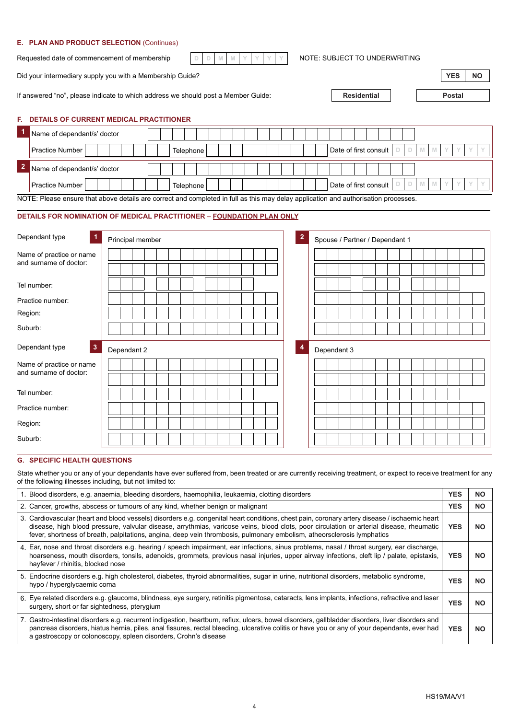| E. PLAN AND PRODUCT SELECTION (Continues)                                                                                                                                                                                   |
|-----------------------------------------------------------------------------------------------------------------------------------------------------------------------------------------------------------------------------|
| Requested date of commencement of membership<br>$\mathsf D$<br>M<br>M<br>NOTE: SUBJECT TO UNDERWRITING<br>D                                                                                                                 |
| <b>YES</b><br><b>NO</b><br>Did your intermediary supply you with a Membership Guide?                                                                                                                                        |
| <b>Residential</b><br>If answered "no", please indicate to which address we should post a Member Guide:<br><b>Postal</b>                                                                                                    |
| <b>DETAILS OF CURRENT MEDICAL PRACTITIONER</b><br>F.                                                                                                                                                                        |
| Name of dependant/s' doctor                                                                                                                                                                                                 |
| Practice Number<br>Date of first consult<br>D<br>M<br>D<br>M<br>Υ<br>Y<br>Telephone                                                                                                                                         |
| $\mathbf{2}$<br>Name of dependant/s' doctor                                                                                                                                                                                 |
| $\Box$<br>M<br>D<br>M<br>Υ<br><b>Practice Number</b><br>Date of first consult<br>Telephone                                                                                                                                  |
| NOTE: Please ensure that above details are correct and completed in full as this may delay application and authorisation processes.                                                                                         |
| DETAILS FOR NOMINATION OF MEDICAL PRACTITIONER - FOUNDATION PLAN ONLY                                                                                                                                                       |
| Dependant type<br>$\overline{\mathbf{c}}$<br>Principal member<br>Spouse / Partner / Dependant 1                                                                                                                             |
| Name of practice or name                                                                                                                                                                                                    |
| and surname of doctor:                                                                                                                                                                                                      |
| Tel number:                                                                                                                                                                                                                 |
| Practice number:                                                                                                                                                                                                            |
| Region:                                                                                                                                                                                                                     |
| Suburb:                                                                                                                                                                                                                     |
| Dependant type<br>3<br>4<br>Dependant 2<br>Dependant 3                                                                                                                                                                      |
| Name of practice or name                                                                                                                                                                                                    |
| and surname of doctor:                                                                                                                                                                                                      |
| Tel number:                                                                                                                                                                                                                 |
| Practice number:                                                                                                                                                                                                            |
| Region:                                                                                                                                                                                                                     |
| Suburb:                                                                                                                                                                                                                     |
| <b>G. SPECIFIC HEALTH QUESTIONS</b>                                                                                                                                                                                         |
| State whether you or any of your dependants have ever suffered from, been treated or are currently receiving treatment, or expect to receive treatment for any<br>of the following illnesses including, but not limited to: |

| 1. Blood disorders, e.g. anaemia, bleeding disorders, haemophilia, leukaemia, clotting disorders                                                                                                                                                                                                                                                                                                                    | <b>YES</b> | NΟ        |
|---------------------------------------------------------------------------------------------------------------------------------------------------------------------------------------------------------------------------------------------------------------------------------------------------------------------------------------------------------------------------------------------------------------------|------------|-----------|
| 2. Cancer, growths, abscess or tumours of any kind, whether benign or malignant                                                                                                                                                                                                                                                                                                                                     | <b>YES</b> | <b>NO</b> |
| 3. Cardiovascular (heart and blood vessels) disorders e.g. congenital heart conditions, chest pain, coronary artery disease / ischaemic heart<br>disease, high blood pressure, valvular disease, arrythmias, varicose veins, blood clots, poor circulation or arterial disease, rheumatic<br>fever, shortness of breath, palpitations, angina, deep vein thrombosis, pulmonary embolism, atheorsclerosis lymphatics | <b>YES</b> | ΝO        |
| 4. Ear, nose and throat disorders e.g. hearing / speech impairment, ear infections, sinus problems, nasal / throat surgery, ear discharge,<br>hoarseness, mouth disorders, tonsils, adenoids, grommets, previous nasal injuries, upper airway infections, cleft lip / palate, epistaxis,<br>hayfever / rhinitis, blocked nose                                                                                       | <b>YES</b> | <b>NO</b> |
| 5. Endocrine disorders e.g. high cholesterol, diabetes, thyroid abnormalities, sugar in urine, nutritional disorders, metabolic syndrome,<br>hypo / hyperglycaemic coma                                                                                                                                                                                                                                             | <b>YES</b> | NΟ        |
| 6. Eye related disorders e.g. glaucoma, blindness, eye surgery, retinitis pigmentosa, cataracts, lens implants, infections, refractive and laser<br>surgery, short or far sightedness, pterygium                                                                                                                                                                                                                    | <b>YES</b> | <b>NO</b> |
| 7. Gastro-intestinal disorders e.g. recurrent indigestion, heartburn, reflux, ulcers, bowel disorders, gallbladder disorders, liver disorders and<br>pancreas disorders, hiatus hernia, piles, anal fissures, rectal bleeding, ulcerative colitis or have you or any of your dependants, ever had<br>a gastroscopy or colonoscopy, spleen disorders, Crohn's disease                                                | <b>YES</b> | NO        |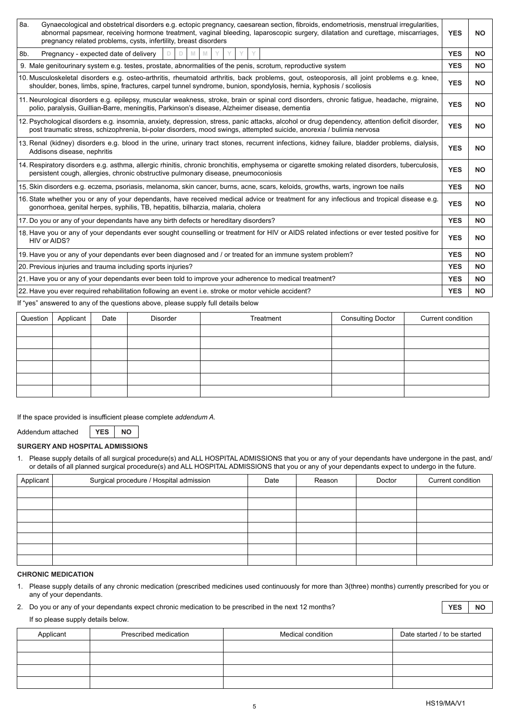| 8a.<br>Gynaecological and obstetrical disorders e.g. ectopic pregnancy, caesarean section, fibroids, endometriosis, menstrual irregularities,<br>abnormal papsmear, receiving hormone treatment, vaginal bleeding, laparoscopic surgery, dilatation and curettage, miscarriages,<br>pregnancy related problems, cysts, infertility, breast disorders | <b>YES</b> | <b>NO</b> |
|------------------------------------------------------------------------------------------------------------------------------------------------------------------------------------------------------------------------------------------------------------------------------------------------------------------------------------------------------|------------|-----------|
| Pregnancy - expected date of delivery<br>8b.<br>D.<br>D.                                                                                                                                                                                                                                                                                             | <b>YES</b> | <b>NO</b> |
| 9. Male genitourinary system e.g. testes, prostate, abnormalities of the penis, scrotum, reproductive system                                                                                                                                                                                                                                         | <b>YES</b> | <b>NO</b> |
| 10. Musculoskeletal disorders e.g. osteo-arthritis, rheumatoid arthritis, back problems, gout, osteoporosis, all joint problems e.g. knee,<br>shoulder, bones, limbs, spine, fractures, carpel tunnel syndrome, bunion, spondylosis, hernia, kyphosis / scoliosis                                                                                    | <b>YES</b> | <b>NO</b> |
| 11. Neurological disorders e.g. epilepsy, muscular weakness, stroke, brain or spinal cord disorders, chronic fatigue, headache, migraine,<br>polio, paralysis, Guillian-Barre, meningitis, Parkinson's disease, Alzheimer disease, dementia                                                                                                          | <b>YES</b> | <b>NO</b> |
| 12. Psychological disorders e.g. insomnia, anxiety, depression, stress, panic attacks, alcohol or drug dependency, attention deficit disorder,<br>post traumatic stress, schizophrenia, bi-polar disorders, mood swings, attempted suicide, anorexia / bulimia nervosa                                                                               | <b>YES</b> | <b>NO</b> |
| 13. Renal (kidney) disorders e.g. blood in the urine, urinary tract stones, recurrent infections, kidney failure, bladder problems, dialysis,<br>Addisons disease, nephritis                                                                                                                                                                         | <b>YES</b> | <b>NO</b> |
| 14. Respiratory disorders e.g. asthma, allergic rhinitis, chronic bronchitis, emphysema or cigarette smoking related disorders, tuberculosis,<br>persistent cough, allergies, chronic obstructive pulmonary disease, pneumoconiosis                                                                                                                  | <b>YES</b> | <b>NO</b> |
| 15. Skin disorders e.g. eczema, psoriasis, melanoma, skin cancer, burns, acne, scars, keloids, growths, warts, ingrown toe nails                                                                                                                                                                                                                     | <b>YES</b> | <b>NO</b> |
| 16. State whether you or any of your dependants, have received medical advice or treatment for any infectious and tropical disease e.g.<br>gonorrhoea, genital herpes, syphilis, TB, hepatitis, bilharzia, malaria, cholera                                                                                                                          | <b>YES</b> | <b>NO</b> |
| 17. Do you or any of your dependants have any birth defects or hereditary disorders?                                                                                                                                                                                                                                                                 | <b>YES</b> | <b>NO</b> |
| 18. Have you or any of your dependants ever sought counselling or treatment for HIV or AIDS related infections or ever tested positive for<br>HIV or AIDS?                                                                                                                                                                                           | <b>YES</b> | <b>NO</b> |
| 19. Have you or any of your dependants ever been diagnosed and / or treated for an immune system problem?                                                                                                                                                                                                                                            | <b>YES</b> | <b>NO</b> |
| 20. Previous injuries and trauma including sports injuries?                                                                                                                                                                                                                                                                                          | <b>YES</b> | <b>NO</b> |
| 21. Have you or any of your dependants ever been told to improve your adherence to medical treatment?                                                                                                                                                                                                                                                | <b>YES</b> | <b>NO</b> |
| 22. Have you ever required rehabilitation following an event i.e. stroke or motor vehicle accident?                                                                                                                                                                                                                                                  | <b>YES</b> | <b>NO</b> |
| If "yes" answered to any of the questions above, please supply full details below                                                                                                                                                                                                                                                                    |            |           |

| Question | Applicant | Date | Disorder | Treatment | <b>Consulting Doctor</b> | Current condition |
|----------|-----------|------|----------|-----------|--------------------------|-------------------|
|          |           |      |          |           |                          |                   |
|          |           |      |          |           |                          |                   |
|          |           |      |          |           |                          |                   |
|          |           |      |          |           |                          |                   |
|          |           |      |          |           |                          |                   |
|          |           |      |          |           |                          |                   |

If the space provided is insufficient please complete *addendum A.*

Addendum attached **YES NO** 

#### **SURGERY AND HOSPITAL ADMISSIONS**

1. Please supply details of all surgical procedure(s) and ALL HOSPITAL ADMISSIONS that you or any of your dependants have undergone in the past, and/ or details of all planned surgical procedure(s) and ALL HOSPITAL ADMISSIONS that you or any of your dependants expect to undergo in the future.

| Applicant | Surgical procedure / Hospital admission | Date | Reason | Doctor | Current condition |
|-----------|-----------------------------------------|------|--------|--------|-------------------|
|           |                                         |      |        |        |                   |
|           |                                         |      |        |        |                   |
|           |                                         |      |        |        |                   |
|           |                                         |      |        |        |                   |
|           |                                         |      |        |        |                   |
|           |                                         |      |        |        |                   |
|           |                                         |      |        |        |                   |

# **CHRONIC MEDICATION**

1. Please supply details of any chronic medication (prescribed medicines used continuously for more than 3(three) months) currently prescribed for you or any of your dependants.

2. Do you or any of your dependants expect chronic medication to be prescribed in the next 12 months? **YES XES NO** 

If so please supply details below.

| Applicant | Prescribed medication | Medical condition | Date started / to be started |
|-----------|-----------------------|-------------------|------------------------------|
|           |                       |                   |                              |
|           |                       |                   |                              |
|           |                       |                   |                              |
|           |                       |                   |                              |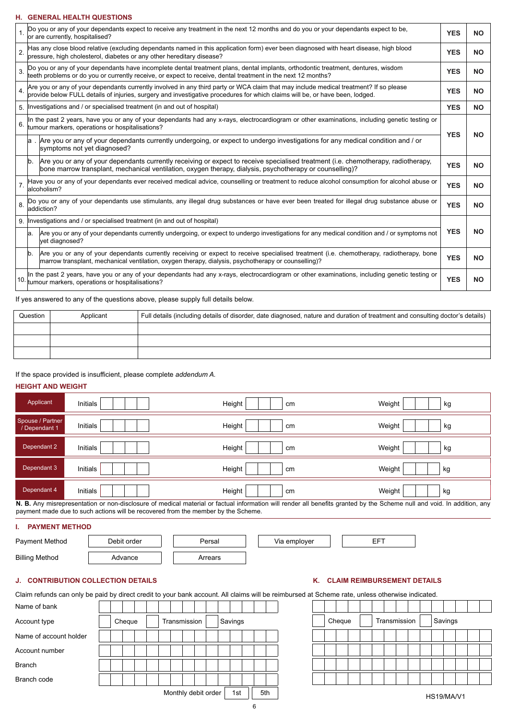# **H. GENERAL HEALTH QUESTIONS**

|                |                | Do you or any of your dependants expect to receive any treatment in the next 12 months and do you or your dependants expect to be,<br>or are currently, hospitalised?                                                                                                 | <b>YES</b> | <b>NO</b> |
|----------------|----------------|-----------------------------------------------------------------------------------------------------------------------------------------------------------------------------------------------------------------------------------------------------------------------|------------|-----------|
| $\overline{2}$ |                | Has any close blood relative (excluding dependants named in this application form) ever been diagnosed with heart disease, high blood<br>pressure, high cholesterol, diabetes or any other hereditary disease?                                                        | <b>YES</b> | <b>NO</b> |
| 3.             |                | Do you or any of your dependants have incomplete dental treatment plans, dental implants, orthodontic treatment, dentures, wisdom<br>teeth problems or do you or currently receive, or expect to receive, dental treatment in the next 12 months?                     | <b>YES</b> | <b>NO</b> |
| 4.             |                | Are you or any of your dependants currently involved in any third party or WCA claim that may include medical treatment? If so please<br>provide below FULL details of injuries, surgery and investigative procedures for which claims will be, or have been, lodged. | <b>YES</b> | <b>NO</b> |
|                |                | 5. Investigations and / or specialised treatment (in and out of hospital)                                                                                                                                                                                             | <b>YES</b> | <b>NO</b> |
| 6.             |                | In the past 2 years, have you or any of your dependants had any x-rays, electrocardiogram or other examinations, including genetic testing or<br>tumour markers, operations or hospitalisations?                                                                      | <b>YES</b> | <b>NO</b> |
|                |                | a. Are you or any of your dependants currently undergoing, or expect to undergo investigations for any medical condition and / or<br>symptoms not yet diagnosed?                                                                                                      |            |           |
|                | $\mathsf{b}$ . | Are you or any of your dependants currently receiving or expect to receive specialised treatment (i.e. chemotherapy, radiotherapy,<br>bone marrow transplant, mechanical ventilation, oxygen therapy, dialysis, psychotherapy or counselling)?                        | <b>YES</b> | <b>NO</b> |
|                |                | Have you or any of your dependants ever received medical advice, counselling or treatment to reduce alcohol consumption for alcohol abuse or<br>alcoholism?                                                                                                           | <b>YES</b> | <b>NO</b> |
| 8.             |                | Do you or any of your dependants use stimulants, any illegal drug substances or have ever been treated for illegal drug substance abuse or<br>addiction?                                                                                                              | <b>YES</b> | <b>NO</b> |
|                |                | 9. Investigations and / or specialised treatment (in and out of hospital)                                                                                                                                                                                             |            |           |
|                | la.            | Are you or any of your dependants currently undergoing, or expect to undergo investigations for any medical condition and / or symptoms not<br>yet diagnosed?                                                                                                         | <b>YES</b> | <b>NO</b> |
|                | lb.            | Are you or any of your dependants currently receiving or expect to receive specialised treatment (i.e. chemotherapy, radiotherapy, bone<br>marrow transplant, mechanical ventilation, oxygen therapy, dialysis, psychotherapy or counselling)?                        | <b>YES</b> | <b>NO</b> |
|                |                | In the past 2 years, have you or any of your dependants had any x-rays, electrocardiogram or other examinations, including genetic testing or<br>10. tumour markers, operations or hospitalisations?                                                                  | <b>YES</b> | <b>NO</b> |

If yes answered to any of the questions above, please supply full details below.

| Question | Applicant | Full details (including details of disorder, date diagnosed, nature and duration of treatment and consulting doctor's details) |
|----------|-----------|--------------------------------------------------------------------------------------------------------------------------------|
|          |           |                                                                                                                                |
|          |           |                                                                                                                                |
|          |           |                                                                                                                                |

## If the space provided is insufficient, please complete *addendum A.*

#### **HEIGHT AND WEIGHT**

| Applicant                         | Initials                            | Height<br>cm       | Weight<br>kg |
|-----------------------------------|-------------------------------------|--------------------|--------------|
| Spouse / Partner<br>/ Dependant 1 | Initials                            | Height<br>cm       | Weight<br>kg |
| Dependant 2                       | Initials                            | Height<br>cm       | Weight<br>kg |
| Dependant 3                       | Initials                            | Height<br>cm       | Weight<br>kg |
| Dependant 4<br>.                  | Initials<br>$\sim$<br>$\sim$ $\sim$ | Height<br>cm<br>-- | Weight<br>kg |

**N. B.** Any misrepresentation or non-disclosure of medical material or factual information will render all benefits granted by the Scheme null and void. In addition, any payment made due to such actions will be recovered from the member by the Scheme.

# **I. PAYMENT METHOD**

| Pavment Method        | Debit order | Persal  | ι emploγer<br>Via | ___<br>- |  |
|-----------------------|-------------|---------|-------------------|----------|--|
| <b>Billing Method</b> | dvance      | Arrears |                   |          |  |

## **J. CONTRIBUTION COLLECTION DETAILS WE ARE CLAIM REIMBURSEMENT DETAILS**

# Claim refunds can only be paid by direct credit to your bank account. All claims will be reimbursed at Scheme rate, unless otherwise indicated.

| Name of bank           |  |        |  |                     |  |  |         |     |  |
|------------------------|--|--------|--|---------------------|--|--|---------|-----|--|
| Account type           |  | Cheque |  | Transmission        |  |  | Savings |     |  |
| Name of account holder |  |        |  |                     |  |  |         |     |  |
| Account number         |  |        |  |                     |  |  |         |     |  |
| <b>Branch</b>          |  |        |  |                     |  |  |         |     |  |
| Branch code            |  |        |  |                     |  |  |         |     |  |
|                        |  |        |  | Monthly debit order |  |  | 1st     | 5th |  |

| vings |  |  |  | Cheque |  |  | Transmission |  | Savings |  |  |
|-------|--|--|--|--------|--|--|--------------|--|---------|--|--|
|       |  |  |  |        |  |  |              |  |         |  |  |
|       |  |  |  |        |  |  |              |  |         |  |  |
|       |  |  |  |        |  |  |              |  |         |  |  |
|       |  |  |  |        |  |  |              |  |         |  |  |
|       |  |  |  |        |  |  |              |  |         |  |  |

HS19/MA/V1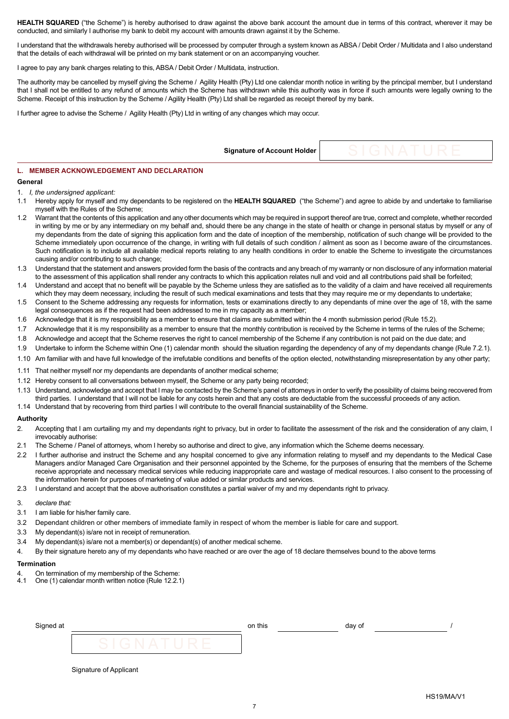HEALTH SQUARED ("the Scheme") is hereby authorised to draw against the above bank account the amount due in terms of this contract, wherever it may be conducted, and similarly I authorise my bank to debit my account with amounts drawn against it by the Scheme.

I understand that the withdrawals hereby authorised will be processed by computer through a system known as ABSA / Debit Order / Multidata and I also understand that the details of each withdrawal will be printed on my bank statement or on an accompanying voucher.

I agree to pay any bank charges relating to this, ABSA / Debit Order / Multidata, instruction.

The authority may be cancelled by myself giving the Scheme / Agility Health (Pty) Ltd one calendar month notice in writing by the principal member, but I understand that I shall not be entitled to any refund of amounts which the Scheme has withdrawn while this authority was in force if such amounts were legally owning to the Scheme. Receipt of this instruction by the Scheme / Agility Health (Pty) Ltd shall be regarded as receipt thereof by my bank.

I further agree to advise the Scheme / Agility Health (Pty) Ltd in writing of any changes which may occur.

**Signature of Account Holder** 

### **L. MEMBER ACKNOWLEDGEMENT AND DECLARATION**

#### **General**

#### 1. *I, the undersigned applicant:*

- 1.1 Hereby apply for myself and my dependants to be registered on the **HEALTH SQUARED** ("the Scheme") and agree to abide by and undertake to familiarise myself with the Rules of the Scheme;
- 1.2 Warrant that the contents of this application and any other documents which may be required in support thereof are true, correct and complete, whether recorded in writing by me or by any intermediary on my behalf and, should there be any change in the state of health or change in personal status by myself or any of my dependants from the date of signing this application form and the date of inception of the membership, notification of such change will be provided to the Scheme immediately upon occurrence of the change, in writing with full details of such condition / ailment as soon as I become aware of the circumstances. Such notification is to include all available medical reports relating to any health conditions in order to enable the Scheme to investigate the circumstances causing and/or contributing to such change;
- 1.3 Understand that the statement and answers provided form the basis of the contracts and any breach of my warranty or non disclosure of any information material to the assessment of this application shall render any contracts to which this application relates null and void and all contributions paid shall be forfeited;
- 1.4 Understand and accept that no benefit will be payable by the Scheme unless they are satisfied as to the validity of a claim and have received all requirements which they may deem necessary, including the result of such medical examinations and tests that they may require me or my dependants to undertake;
- 1.5 Consent to the Scheme addressing any requests for information, tests or examinations directly to any dependants of mine over the age of 18, with the same legal consequences as if the request had been addressed to me in my capacity as a member;
- 1.6 Acknowledge that it is my responsibility as a member to ensure that claims are submitted within the 4 month submission period (Rule 15.2).
- 1.7 Acknowledge that it is my responsibility as a member to ensure that the monthly contribution is received by the Scheme in terms of the rules of the Scheme;
- 1.8 Acknowledge and accept that the Scheme reserves the right to cancel membership of the Scheme if any contribution is not paid on the due date; and
- 1.9 Undertake to inform the Scheme within One (1) calendar month should the situation regarding the dependency of any of my dependants change (Rule 7.2.1).
- 1.10 Am familiar with and have full knowledge of the irrefutable conditions and benefits of the option elected, notwithstanding misrepresentation by any other party;
- 1.11 That neither myself nor my dependants are dependants of another medical scheme;
- 1.12 Hereby consent to all conversations between myself, the Scheme or any party being recorded;
- 1.13 Understand, acknowledge and accept that I may be contacted by the Scheme's panel of attorneys in order to verify the possibility of claims being recovered from third parties. I understand that I will not be liable for any costs herein and that any costs are deductable from the successful proceeds of any action.
- 1.14 Understand that by recovering from third parties I will contribute to the overall financial sustainability of the Scheme.

#### **Authority**

- 2. Accepting that I am curtailing my and my dependants right to privacy, but in order to facilitate the assessment of the risk and the consideration of any claim, I irrevocably authorise:
- 2.1 The Scheme / Panel of attorneys, whom I hereby so authorise and direct to give, any information which the Scheme deems necessary.
- 2.2 I further authorise and instruct the Scheme and any hospital concerned to give any information relating to myself and my dependants to the Medical Case Managers and/or Managed Care Organisation and their personnel appointed by the Scheme, for the purposes of ensuring that the members of the Scheme receive appropriate and necessary medical services while reducing inappropriate care and wastage of medical resources. I also consent to the processing of the information herein for purposes of marketing of value added or similar products and services.
- 2.3 I understand and accept that the above authorisation constitutes a partial waiver of my and my dependants right to privacy.
- 3. *declare that:*
- 3.1 I am liable for his/her family care.
- 3.2 Dependant children or other members of immediate family in respect of whom the member is liable for care and support.
- 3.3 My dependant(s) is/are not in receipt of remuneration.
- 3.4 My dependant(s) is/are not a member(s) or dependant(s) of another medical scheme.
- 4. By their signature hereto any of my dependants who have reached or are over the age of 18 declare themselves bound to the above terms

#### **Termination**

- 4. On termination of my membership of the Scheme:<br>4.1 One (1) calendar month written notice (Rule 12.2.1
- 4.1 One (1) calendar month written notice (Rule 12.2.1)

| Signed at |                                                                                                                                | on this | day of |  |
|-----------|--------------------------------------------------------------------------------------------------------------------------------|---------|--------|--|
|           | <b>STATISTICS</b><br>n.<br>$\overline{\phantom{a}}$<br><b>State of Contract of State of Contract of State of Taxable State</b> |         |        |  |

#### Signature of Applicant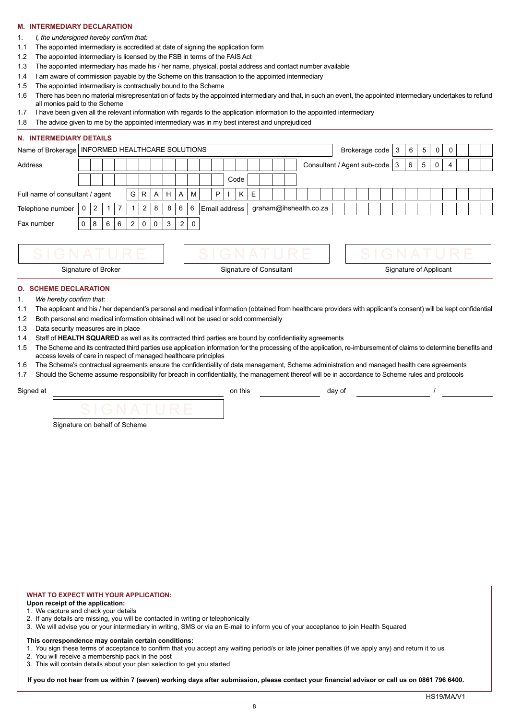## **M. INTERMEDIARY DECLARATION**

- 1. *I, the undersigned hereby confirm that:*
- 1.1 The appointed intermediary is accredited at date of signing the application form
- 1.2 The appointed intermediary is licensed by the FSB in terms of the FAIS Act
- 1.3 The appointed intermediary has made his / her name, physical, postal address and contact number available
- 1.4 I am aware of commission payable by the Scheme on this transaction to the appointed intermediary
- 1.5 The appointed intermediary is contractually bound to the Scheme
- 1.6 There has been no material misrepresentation of facts by the appointed intermediary and that, in such an event, the appointed intermediary undertakes to refund all monies paid to the Scheme
- 1.7 I have been given all the relevant information with regards to the application information to the appointed intermediary
- 1.8 The advice given to me by the appointed intermediary was in my best interest and unprejudiced

#### **N. INTERMEDIARY DETAILS**

| Name of Brokerage   INFORMED HEALTHCARE SOLUTIONS<br>Brokerage code |                                                              |   |  |  |  |   |              |              |    |           |               | 3 | 6 | 5    | $\mathbf 0$ | 0 |  |  |                             |  |  |  |                |          |             |             |   |  |  |
|---------------------------------------------------------------------|--------------------------------------------------------------|---|--|--|--|---|--------------|--------------|----|-----------|---------------|---|---|------|-------------|---|--|--|-----------------------------|--|--|--|----------------|----------|-------------|-------------|---|--|--|
| Address                                                             |                                                              |   |  |  |  |   |              |              |    |           |               |   |   |      |             |   |  |  | Consultant / Agent sub-code |  |  |  | $\overline{3}$ | 6        | $5^{\circ}$ | $\mathbf 0$ | 4 |  |  |
|                                                                     |                                                              |   |  |  |  |   |              |              |    |           |               |   |   | Code |             |   |  |  |                             |  |  |  |                |          |             |             |   |  |  |
|                                                                     | Full name of consultant / agent<br>G<br>R.                   |   |  |  |  |   |              | H            | A  | M         |               | P |   | K    | E           |   |  |  |                             |  |  |  |                |          |             |             |   |  |  |
| Telephone number                                                    | 0                                                            | 2 |  |  |  | 2 | 8            | 8            | -6 | 6         | Email address |   |   |      |             |   |  |  | graham@ihshealth.co.za      |  |  |  |                |          |             |             |   |  |  |
| Fax number                                                          | $\overline{2}$<br>$\mathbf{0}$<br>$\mathbf 0$<br>8<br>6<br>6 |   |  |  |  |   | $\mathsf{O}$ | $\mathbf{3}$ | 2  | l 0       |               |   |   |      |             |   |  |  |                             |  |  |  |                |          |             |             |   |  |  |
|                                                                     |                                                              |   |  |  |  |   |              |              |    |           |               |   |   |      |             |   |  |  |                             |  |  |  |                |          |             |             |   |  |  |
| SIGNATURE                                                           |                                                              |   |  |  |  |   |              |              |    | SIGNATURE |               |   |   |      |             |   |  |  |                             |  |  |  |                | SIGNATUR |             |             |   |  |  |

Signature of Broker

Signature of Consultant

Signature of Applicant

# **O. SCHEME DECLARATION**

- 1. *We hereby confirm that:*
- 1.1 The applicant and his / her dependant's personal and medical information (obtained from healthcare providers with applicant's consent) will be kept confidential
- 1.2 Both personal and medical information obtained will not be used or sold commercially
- 1.3 Data security measures are in place
- 1.4 Staff of **HEALTH SQUARED** as well as its contracted third parties are bound by confidentiality agreements
- 1.5 The Scheme and its contracted third parties use application information for the processing of the application, re-imbursement of claims to determine benefits and access levels of care in respect of managed healthcare principles
- 1.6 The Scheme's contractual agreements ensure the confidentiality of data management, Scheme administration and managed health care agreements
- 1.7 Should the Scheme assume responsibility for breach in confidentiality, the management thereof will be in accordance to Scheme rules and protocols

Signed at on this day of /

Signature on behalf of Scheme

#### **WHAT TO EXPECT WITH YOUR APPLICATION:**

- **Upon receipt of the application:**
- 1. We capture and check your details
- 2. If any details are missing, you will be contacted in writing or telephonically
- 3. We will advise you or your intermediary in writing, SMS or via an E-mail to inform you of your acceptance to join Health Squared

#### **This correspondence may contain certain conditions:**

- 1. You sign these terms of acceptance to confirm that you accept any waiting period/s or late joiner penalties (if we apply any) and return it to us
- You will receive a membership pack in the post
- 3. This will contain details about your plan selection to get you started

**If you do not hear from us within 7 (seven) working days after submission, please contact your financial advisor or call us on 0861 796 6400.**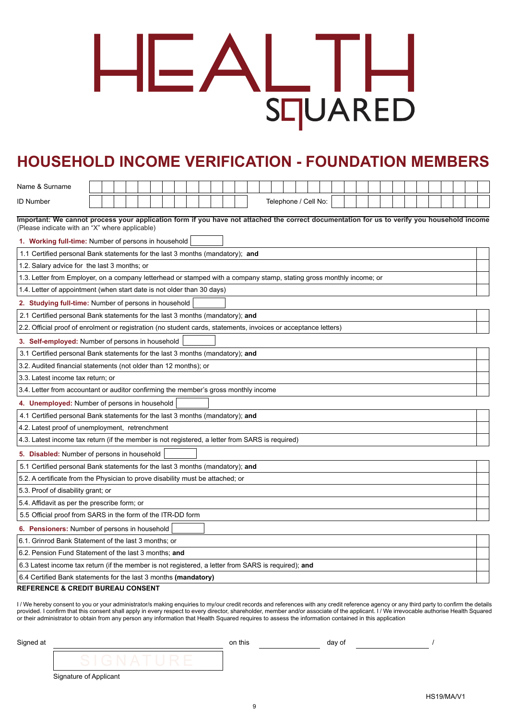# $E\mathsf{A}$  $\Box$   $\Box$ **SCUARED**

# **HOUSEHOLD INCOME VERIFICATION - FOUNDATION MEMBERS**

| Name & Surname                                                                                                                                                                                |                                                                                                                 |  |  |  |  |  |  |  |  |  |                      |  |  |  |  |  |  |  |  |  |
|-----------------------------------------------------------------------------------------------------------------------------------------------------------------------------------------------|-----------------------------------------------------------------------------------------------------------------|--|--|--|--|--|--|--|--|--|----------------------|--|--|--|--|--|--|--|--|--|
| <b>ID Number</b>                                                                                                                                                                              |                                                                                                                 |  |  |  |  |  |  |  |  |  | Telephone / Cell No: |  |  |  |  |  |  |  |  |  |
| Important: We cannot process your application form if you have not attached the correct documentation for us to verify you household income<br>(Please indicate with an "X" where applicable) |                                                                                                                 |  |  |  |  |  |  |  |  |  |                      |  |  |  |  |  |  |  |  |  |
| 1. Working full-time: Number of persons in household                                                                                                                                          |                                                                                                                 |  |  |  |  |  |  |  |  |  |                      |  |  |  |  |  |  |  |  |  |
|                                                                                                                                                                                               | 1.1 Certified personal Bank statements for the last 3 months (mandatory); and                                   |  |  |  |  |  |  |  |  |  |                      |  |  |  |  |  |  |  |  |  |
| 1.2. Salary advice for the last 3 months; or                                                                                                                                                  |                                                                                                                 |  |  |  |  |  |  |  |  |  |                      |  |  |  |  |  |  |  |  |  |
| 1.3. Letter from Employer, on a company letterhead or stamped with a company stamp, stating gross monthly income; or                                                                          |                                                                                                                 |  |  |  |  |  |  |  |  |  |                      |  |  |  |  |  |  |  |  |  |
| 1.4. Letter of appointment (when start date is not older than 30 days)                                                                                                                        |                                                                                                                 |  |  |  |  |  |  |  |  |  |                      |  |  |  |  |  |  |  |  |  |
| 2. Studying full-time: Number of persons in household                                                                                                                                         |                                                                                                                 |  |  |  |  |  |  |  |  |  |                      |  |  |  |  |  |  |  |  |  |
| 2.1 Certified personal Bank statements for the last 3 months (mandatory); and                                                                                                                 |                                                                                                                 |  |  |  |  |  |  |  |  |  |                      |  |  |  |  |  |  |  |  |  |
|                                                                                                                                                                                               | 2.2. Official proof of enrolment or registration (no student cards, statements, invoices or acceptance letters) |  |  |  |  |  |  |  |  |  |                      |  |  |  |  |  |  |  |  |  |
| 3. Self-employed: Number of persons in household                                                                                                                                              |                                                                                                                 |  |  |  |  |  |  |  |  |  |                      |  |  |  |  |  |  |  |  |  |
| 3.1 Certified personal Bank statements for the last 3 months (mandatory); and                                                                                                                 |                                                                                                                 |  |  |  |  |  |  |  |  |  |                      |  |  |  |  |  |  |  |  |  |
|                                                                                                                                                                                               |                                                                                                                 |  |  |  |  |  |  |  |  |  |                      |  |  |  |  |  |  |  |  |  |
|                                                                                                                                                                                               | 3.2. Audited financial statements (not older than 12 months); or<br>3.3. Latest income tax return; or           |  |  |  |  |  |  |  |  |  |                      |  |  |  |  |  |  |  |  |  |
| 3.4. Letter from accountant or auditor confirming the member's gross monthly income                                                                                                           |                                                                                                                 |  |  |  |  |  |  |  |  |  |                      |  |  |  |  |  |  |  |  |  |
| 4. Unemployed: Number of persons in household                                                                                                                                                 |                                                                                                                 |  |  |  |  |  |  |  |  |  |                      |  |  |  |  |  |  |  |  |  |
| 4.1 Certified personal Bank statements for the last 3 months (mandatory); and                                                                                                                 |                                                                                                                 |  |  |  |  |  |  |  |  |  |                      |  |  |  |  |  |  |  |  |  |
| 4.2. Latest proof of unemployment, retrenchment                                                                                                                                               |                                                                                                                 |  |  |  |  |  |  |  |  |  |                      |  |  |  |  |  |  |  |  |  |
| 4.3. Latest income tax return (if the member is not registered, a letter from SARS is required)                                                                                               |                                                                                                                 |  |  |  |  |  |  |  |  |  |                      |  |  |  |  |  |  |  |  |  |
| 5. Disabled: Number of persons in household                                                                                                                                                   |                                                                                                                 |  |  |  |  |  |  |  |  |  |                      |  |  |  |  |  |  |  |  |  |
| 5.1 Certified personal Bank statements for the last 3 months (mandatory); and                                                                                                                 |                                                                                                                 |  |  |  |  |  |  |  |  |  |                      |  |  |  |  |  |  |  |  |  |
| 5.2. A certificate from the Physician to prove disability must be attached; or                                                                                                                |                                                                                                                 |  |  |  |  |  |  |  |  |  |                      |  |  |  |  |  |  |  |  |  |
| 5.3. Proof of disability grant; or                                                                                                                                                            |                                                                                                                 |  |  |  |  |  |  |  |  |  |                      |  |  |  |  |  |  |  |  |  |
| 5.4. Affidavit as per the prescribe form; or                                                                                                                                                  |                                                                                                                 |  |  |  |  |  |  |  |  |  |                      |  |  |  |  |  |  |  |  |  |
| 5.5 Official proof from SARS in the form of the ITR-DD form                                                                                                                                   |                                                                                                                 |  |  |  |  |  |  |  |  |  |                      |  |  |  |  |  |  |  |  |  |
| 6. Pensioners: Number of persons in household                                                                                                                                                 |                                                                                                                 |  |  |  |  |  |  |  |  |  |                      |  |  |  |  |  |  |  |  |  |
|                                                                                                                                                                                               | 6.1. Grinrod Bank Statement of the last 3 months; or                                                            |  |  |  |  |  |  |  |  |  |                      |  |  |  |  |  |  |  |  |  |
| 6.2. Pension Fund Statement of the last 3 months; and                                                                                                                                         |                                                                                                                 |  |  |  |  |  |  |  |  |  |                      |  |  |  |  |  |  |  |  |  |
|                                                                                                                                                                                               | 6.3 Latest income tax return (if the member is not registered, a letter from SARS is required); and             |  |  |  |  |  |  |  |  |  |                      |  |  |  |  |  |  |  |  |  |
| 6.4 Certified Bank statements for the last 3 months (mandatory)                                                                                                                               |                                                                                                                 |  |  |  |  |  |  |  |  |  |                      |  |  |  |  |  |  |  |  |  |

#### **REFERENCE & CREDIT BUREAU CONSENT**

I / We hereby consent to you or your administrator/s making enquiries to my/our credit records and references with any credit reference agency or any third party to confirm the details provided. I confirm that this consent shall apply in every respect to every director, shareholder, member and/or associate of the applicant. I / We irrevocable authorise Health Squared or their administrator to obtain from any person any information that Health Squared requires to assess the information contained in this application

| Signed at |                        | on this | day of |  |
|-----------|------------------------|---------|--------|--|
|           |                        |         |        |  |
|           | Signature of Applicant |         |        |  |